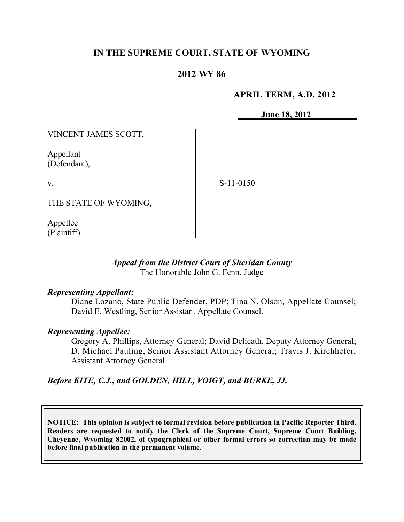# **IN THE SUPREME COURT, STATE OF WYOMING**

# **2012 WY 86**

### **APRIL TERM, A.D. 2012**

**June 18, 2012**

VINCENT JAMES SCOTT,

Appellant (Defendant),

v.

S-11-0150

THE STATE OF WYOMING,

Appellee (Plaintiff).

### *Appeal from the District Court of Sheridan County* The Honorable John G. Fenn, Judge

#### *Representing Appellant:*

Diane Lozano, State Public Defender, PDP; Tina N. Olson, Appellate Counsel; David E. Westling, Senior Assistant Appellate Counsel.

#### *Representing Appellee:*

Gregory A. Phillips, Attorney General; David Delicath, Deputy Attorney General; D. Michael Pauling, Senior Assistant Attorney General; Travis J. Kirchhefer, Assistant Attorney General.

*Before KITE, C.J., and GOLDEN, HILL, VOIGT, and BURKE, JJ.*

**NOTICE: This opinion is subject to formal revision before publication in Pacific Reporter Third. Readers are requested to notify the Clerk of the Supreme Court, Supreme Court Building, Cheyenne, Wyoming 82002, of typographical or other formal errors so correction may be made before final publication in the permanent volume.**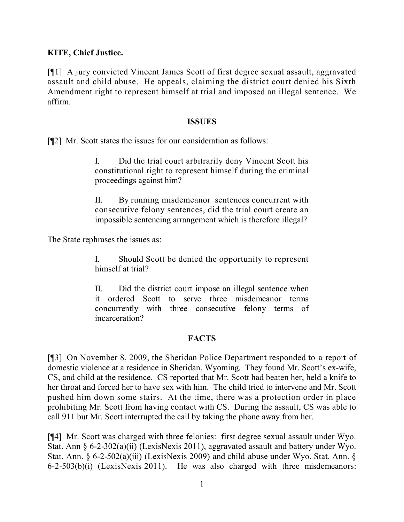**KITE, Chief Justice.**

[¶1] A jury convicted Vincent James Scott of first degree sexual assault, aggravated assault and child abuse. He appeals, claiming the district court denied his Sixth Amendment right to represent himself at trial and imposed an illegal sentence. We affirm.

### **ISSUES**

[¶2] Mr. Scott states the issues for our consideration as follows:

I. Did the trial court arbitrarily deny Vincent Scott his constitutional right to represent himself during the criminal proceedings against him?

II. By running misdemeanor sentences concurrent with consecutive felony sentences, did the trial court create an impossible sentencing arrangement which is therefore illegal?

The State rephrases the issues as:

I. Should Scott be denied the opportunity to represent himself at trial?

II. Did the district court impose an illegal sentence when it ordered Scott to serve three misdemeanor terms concurrently with three consecutive felony terms of incarceration?

# **FACTS**

[¶3] On November 8, 2009, the Sheridan Police Department responded to a report of domestic violence at a residence in Sheridan, Wyoming. They found Mr. Scott's ex-wife, CS, and child at the residence. CS reported that Mr. Scott had beaten her, held a knife to her throat and forced her to have sex with him. The child tried to intervene and Mr. Scott pushed him down some stairs. At the time, there was a protection order in place prohibiting Mr. Scott from having contact with CS. During the assault, CS was able to call 911 but Mr. Scott interrupted the call by taking the phone away from her.

[¶4] Mr. Scott was charged with three felonies: first degree sexual assault under Wyo. Stat. Ann § 6-2-302(a)(ii) (LexisNexis 2011), aggravated assault and battery under Wyo. Stat. Ann. § 6-2-502(a)(iii) (LexisNexis 2009) and child abuse under Wyo. Stat. Ann. § 6-2-503(b)(i) (LexisNexis 2011). He was also charged with three misdemeanors: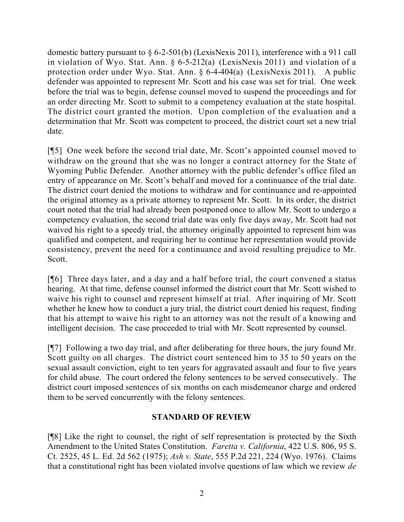domestic battery pursuant to § 6-2-501(b) (LexisNexis 2011), interference with a 911 call in violation of Wyo. Stat. Ann. § 6-5-212(a) (LexisNexis 2011) and violation of a protection order under Wyo. Stat. Ann. § 6-4-404(a) (LexisNexis 2011). A public defender was appointed to represent Mr. Scott and his case was set for trial. One week before the trial was to begin, defense counsel moved to suspend the proceedings and for an order directing Mr. Scott to submit to a competency evaluation at the state hospital. The district court granted the motion. Upon completion of the evaluation and a determination that Mr. Scott was competent to proceed, the district court set a new trial date.

[¶5] One week before the second trial date, Mr. Scott's appointed counsel moved to withdraw on the ground that she was no longer a contract attorney for the State of Wyoming Public Defender. Another attorney with the public defender's office filed an entry of appearance on Mr. Scott's behalf and moved for a continuance of the trial date. The district court denied the motions to withdraw and for continuance and re-appointed the original attorney as a private attorney to represent Mr. Scott. In its order, the district court noted that the trial had already been postponed once to allow Mr. Scott to undergo a competency evaluation, the second trial date was only five days away, Mr. Scott had not waived his right to a speedy trial, the attorney originally appointed to represent him was qualified and competent, and requiring her to continue her representation would provide consistency, prevent the need for a continuance and avoid resulting prejudice to Mr. Scott.

[¶6] Three days later, and a day and a half before trial, the court convened a status hearing. At that time, defense counsel informed the district court that Mr. Scott wished to waive his right to counsel and represent himself at trial. After inquiring of Mr. Scott whether he knew how to conduct a jury trial, the district court denied his request, finding that his attempt to waive his right to an attorney was not the result of a knowing and intelligent decision. The case proceeded to trial with Mr. Scott represented by counsel.

[¶7] Following a two day trial, and after deliberating for three hours, the jury found Mr. Scott guilty on all charges. The district court sentenced him to 35 to 50 years on the sexual assault conviction, eight to ten years for aggravated assault and four to five years for child abuse. The court ordered the felony sentences to be served consecutively. The district court imposed sentences of six months on each misdemeanor charge and ordered them to be served concurrently with the felony sentences.

# **STANDARD OF REVIEW**

[¶8] Like the right to counsel, the right of self representation is protected by the Sixth Amendment to the United States Constitution. *Faretta v. California*, 422 U.S. 806, 95 S. Ct. 2525, 45 L. Ed. 2d 562 (1975); *Ash v. State*, 555 P.2d 221, 224 (Wyo. 1976). Claims that a constitutional right has been violated involve questions of law which we review *de*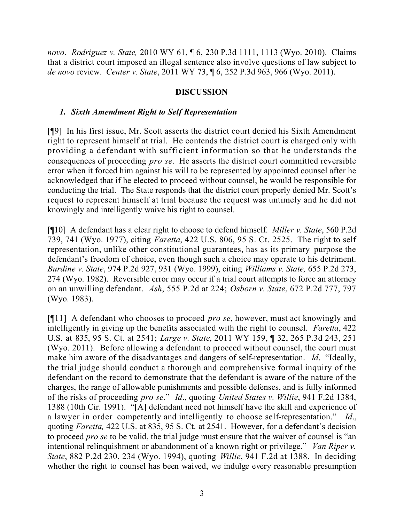*novo*. *Rodriguez v. State,* 2010 WY 61, ¶ 6, 230 P.3d 1111, 1113 (Wyo. 2010). Claims that a district court imposed an illegal sentence also involve questions of law subject to *de novo* review. *Center v. State*, 2011 WY 73, ¶ 6, 252 P.3d 963, 966 (Wyo. 2011).

# **DISCUSSION**

## *1. Sixth Amendment Right to Self Representation*

[¶9] In his first issue, Mr. Scott asserts the district court denied his Sixth Amendment right to represent himself at trial. He contends the district court is charged only with providing a defendant with sufficient information so that he understands the consequences of proceeding *pro se*. He asserts the district court committed reversible error when it forced him against his will to be represented by appointed counsel after he acknowledged that if he elected to proceed without counsel, he would be responsible for conducting the trial. The State responds that the district court properly denied Mr. Scott's request to represent himself at trial because the request was untimely and he did not knowingly and intelligently waive his right to counsel.

[¶10] A defendant has a clear right to choose to defend himself. *Miller v. State*, 560 P.2d 739, 741 (Wyo. 1977), citing *Faretta*, 422 U.S. 806, 95 S. Ct. 2525. The right to self representation, unlike other constitutional guarantees, has as its primary purpose the defendant's freedom of choice, even though such a choice may operate to his detriment. *Burdine v. State*, 974 P.2d 927, 931 (Wyo. 1999), citing *Williams v. State,* 655 P.2d 273, 274 (Wyo. 1982). Reversible error may occur if a trial court attempts to force an attorney on an unwilling defendant. *Ash*, 555 P.2d at 224; *Osborn v. State*, 672 P.2d 777, 797 (Wyo. 1983).

[¶11] A defendant who chooses to proceed *pro se*, however, must act knowingly and intelligently in giving up the benefits associated with the right to counsel. *Faretta*, 422 U.S. at 835, 95 S. Ct. at 2541; *Large v. State*, 2011 WY 159, ¶ 32, 265 P.3d 243, 251 (Wyo. 2011). Before allowing a defendant to proceed without counsel, the court must make him aware of the disadvantages and dangers of self-representation. *Id*. "Ideally, the trial judge should conduct a thorough and comprehensive formal inquiry of the defendant on the record to demonstrate that the defendant is aware of the nature of the charges, the range of allowable punishments and possible defenses, and is fully informed of the risks of proceeding *pro se*." *Id*., quoting *United States v. Willie*, 941 F.2d 1384, 1388 (10th Cir. 1991). "[A] defendant need not himself have the skill and experience of a lawyer in order competently and intelligently to choose self-representation." *Id*., quoting *Faretta,* 422 U.S. at 835, 95 S. Ct. at 2541. However, for a defendant's decision to proceed *pro se* to be valid, the trial judge must ensure that the waiver of counsel is "an intentional relinquishment or abandonment of a known right or privilege." *Van Riper v. State*, 882 P.2d 230, 234 (Wyo. 1994), quoting *Willie*, 941 F.2d at 1388. In deciding whether the right to counsel has been waived, we indulge every reasonable presumption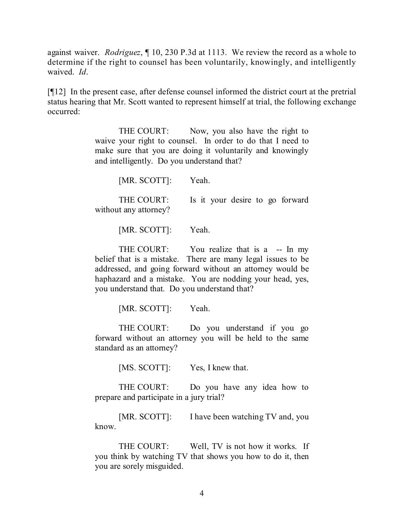against waiver. *Rodriguez*, ¶ 10, 230 P.3d at 1113. We review the record as a whole to determine if the right to counsel has been voluntarily, knowingly, and intelligently waived. *Id*.

[¶12] In the present case, after defense counsel informed the district court at the pretrial status hearing that Mr. Scott wanted to represent himself at trial, the following exchange occurred:

> THE COURT: Now, you also have the right to waive your right to counsel. In order to do that I need to make sure that you are doing it voluntarily and knowingly and intelligently. Do you understand that?

> > [MR. SCOTT]: Yeah.

THE COURT: Is it your desire to go forward without any attorney?

[MR. SCOTT]: Yeah.

THE COURT: You realize that is a -- In my belief that is a mistake. There are many legal issues to be addressed, and going forward without an attorney would be haphazard and a mistake. You are nodding your head, yes, you understand that. Do you understand that?

[MR. SCOTT]: Yeah.

THE COURT: Do you understand if you go forward without an attorney you will be held to the same standard as an attorney?

[MS. SCOTT]: Yes, I knew that.

THE COURT: Do you have any idea how to prepare and participate in a jury trial?

[MR. SCOTT]: I have been watching TV and, you know.

THE COURT: Well, TV is not how it works. If you think by watching TV that shows you how to do it, then you are sorely misguided.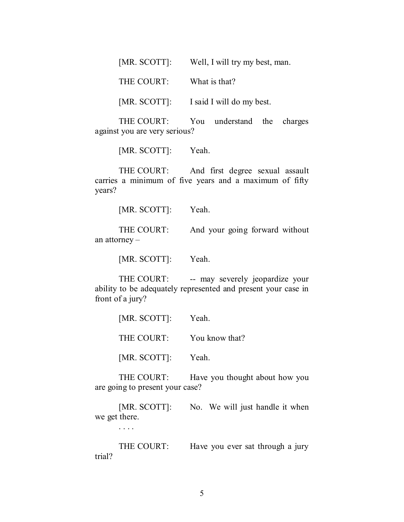| [MR. SCOTT]: | Well, I will try my best, man. |  |  |  |
|--------------|--------------------------------|--|--|--|
|              |                                |  |  |  |

THE COURT: What is that?

[MR. SCOTT]: I said I will do my best.

THE COURT: You understand the charges against you are very serious?

[MR. SCOTT]: Yeah.

THE COURT: And first degree sexual assault carries a minimum of five years and a maximum of fifty years?

[MR. SCOTT]: Yeah.

THE COURT: And your going forward without an attorney –

[MR. SCOTT]: Yeah.

THE COURT: -- may severely jeopardize your ability to be adequately represented and present your case in front of a jury?

| [MR. SCOTT]: | Yeah.          |
|--------------|----------------|
| THE COURT:   | You know that? |
| [MR. SCOTT]: | Yeah.          |

THE COURT: Have you thought about how you are going to present your case?

[MR. SCOTT]: No. We will just handle it when we get there.

. . . .

THE COURT: Have you ever sat through a jury trial?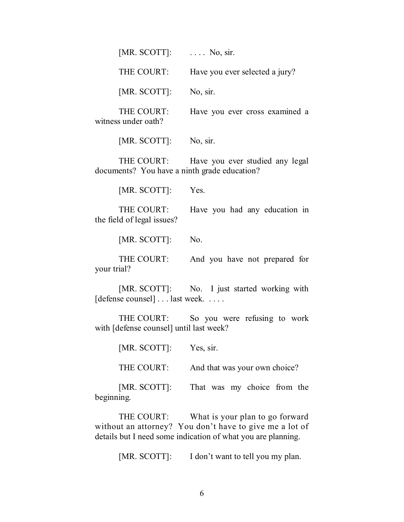| [MR. SCOTT]: | $\ldots$ No, sir.              |
|--------------|--------------------------------|
| THE COURT:   | Have you ever selected a jury? |
| [MR. SCOTT]: | No, sir.                       |

THE COURT: Have you ever cross examined a witness under oath?

[MR. SCOTT]: No, sir.

THE COURT: Have you ever studied any legal documents? You have a ninth grade education?

[MR. SCOTT]: Yes.

THE COURT: Have you had any education in the field of legal issues?

[MR. SCOTT]: No.

THE COURT: And you have not prepared for your trial?

[MR. SCOTT]: No. I just started working with [defense counsel] . . . last week. . . . . .

THE COURT: So you were refusing to work with [defense counsel] until last week?

[MR. SCOTT]: Yes, sir.

THE COURT: And that was your own choice?

[MR. SCOTT]: That was my choice from the beginning.

THE COURT: What is your plan to go forward without an attorney? You don't have to give me a lot of details but I need some indication of what you are planning.

[MR. SCOTT]: I don't want to tell you my plan.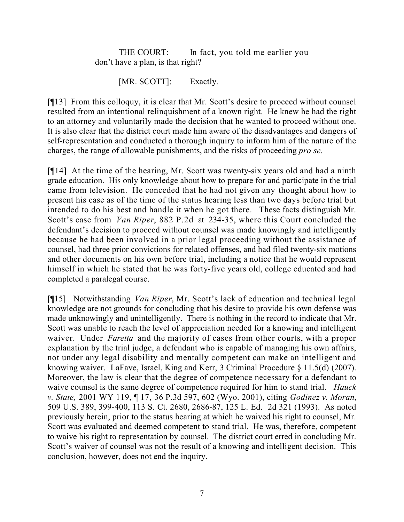THE COURT: In fact, you told me earlier you don't have a plan, is that right?

[MR. SCOTT]: Exactly.

[¶13] From this colloquy, it is clear that Mr. Scott's desire to proceed without counsel resulted from an intentional relinquishment of a known right. He knew he had the right to an attorney and voluntarily made the decision that he wanted to proceed without one. It is also clear that the district court made him aware of the disadvantages and dangers of self-representation and conducted a thorough inquiry to inform him of the nature of the charges, the range of allowable punishments, and the risks of proceeding *pro se*.

[¶14] At the time of the hearing, Mr. Scott was twenty-six years old and had a ninth grade education. His only knowledge about how to prepare for and participate in the trial came from television. He conceded that he had not given any thought about how to present his case as of the time of the status hearing less than two days before trial but intended to do his best and handle it when he got there. These facts distinguish Mr. Scott's case from *Van Riper*, 882 P.2d at 234-35, where this Court concluded the defendant's decision to proceed without counsel was made knowingly and intelligently because he had been involved in a prior legal proceeding without the assistance of counsel, had three prior convictions for related offenses, and had filed twenty-six motions and other documents on his own before trial, including a notice that he would represent himself in which he stated that he was forty-five years old, college educated and had completed a paralegal course.

[¶15] Notwithstanding *Van Riper*, Mr. Scott's lack of education and technical legal knowledge are not grounds for concluding that his desire to provide his own defense was made unknowingly and unintelligently. There is nothing in the record to indicate that Mr. Scott was unable to reach the level of appreciation needed for a knowing and intelligent waiver. Under *Faretta* and the majority of cases from other courts, with a proper explanation by the trial judge, a defendant who is capable of managing his own affairs, not under any legal disability and mentally competent can make an intelligent and knowing waiver. LaFave, Israel, King and Kerr, 3 Criminal Procedure § 11.5(d) (2007). Moreover, the law is clear that the degree of competence necessary for a defendant to waive counsel is the same degree of competence required for him to stand trial. *Hauck v. State,* 2001 WY 119, ¶ 17, 36 P.3d 597, 602 (Wyo. 2001), citing *Godinez v. Moran*, 509 U.S. 389, 399-400, 113 S. Ct. 2680, 2686-87, 125 L. Ed. 2d 321 (1993). As noted previously herein, prior to the status hearing at which he waived his right to counsel, Mr. Scott was evaluated and deemed competent to stand trial. He was, therefore, competent to waive his right to representation by counsel. The district court erred in concluding Mr. Scott's waiver of counsel was not the result of a knowing and intelligent decision. This conclusion, however, does not end the inquiry.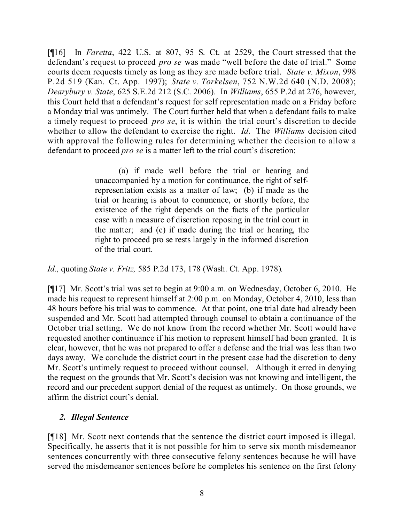[¶16] In *Faretta*, 422 U.S. at 807, 95 S. Ct. at 2529, the Court stressed that the defendant's request to proceed *pro se* was made "well before the date of trial." Some courts deem requests timely as long as they are made before trial. *State v. Mixon*, 998 P.2d 519 (Kan. Ct. App. 1997); *State v. Torkelsen*, 752 N.W.2d 640 (N.D. 2008); *Dearybury v. State*, 625 S.E.2d 212 (S.C. 2006). In *Williams*, 655 P.2d at 276, however, this Court held that a defendant's request for self representation made on a Friday before a Monday trial was untimely. The Court further held that when a defendant fails to make a timely request to proceed *pro se*, it is within the trial court's discretion to decide whether to allow the defendant to exercise the right. *Id*. The *Williams* decision cited with approval the following rules for determining whether the decision to allow a defendant to proceed *pro se* is a matter left to the trial court's discretion:

> (a) if made well before the trial or hearing and unaccompanied by a motion for continuance, the right of selfrepresentation exists as a matter of law; (b) if made as the trial or hearing is about to commence, or shortly before, the existence of the right depends on the facts of the particular case with a measure of discretion reposing in the trial court in the matter; and (c) if made during the trial or hearing, the right to proceed pro se rests largely in the informed discretion of the trial court.

# *Id.,* quoting *State v. Fritz,* 585 P.2d 173, 178 (Wash. Ct. App. 1978)*.*

[¶17] Mr. Scott's trial was set to begin at 9:00 a.m. on Wednesday, October 6, 2010. He made his request to represent himself at 2:00 p.m. on Monday, October 4, 2010, less than 48 hours before his trial was to commence. At that point, one trial date had already been suspended and Mr. Scott had attempted through counsel to obtain a continuance of the October trial setting. We do not know from the record whether Mr. Scott would have requested another continuance if his motion to represent himself had been granted. It is clear, however, that he was not prepared to offer a defense and the trial was less than two days away. We conclude the district court in the present case had the discretion to deny Mr. Scott's untimely request to proceed without counsel. Although it erred in denying the request on the grounds that Mr. Scott's decision was not knowing and intelligent, the record and our precedent support denial of the request as untimely. On those grounds, we affirm the district court's denial.

# *2. Illegal Sentence*

[¶18] Mr. Scott next contends that the sentence the district court imposed is illegal. Specifically, he asserts that it is not possible for him to serve six month misdemeanor sentences concurrently with three consecutive felony sentences because he will have served the misdemeanor sentences before he completes his sentence on the first felony